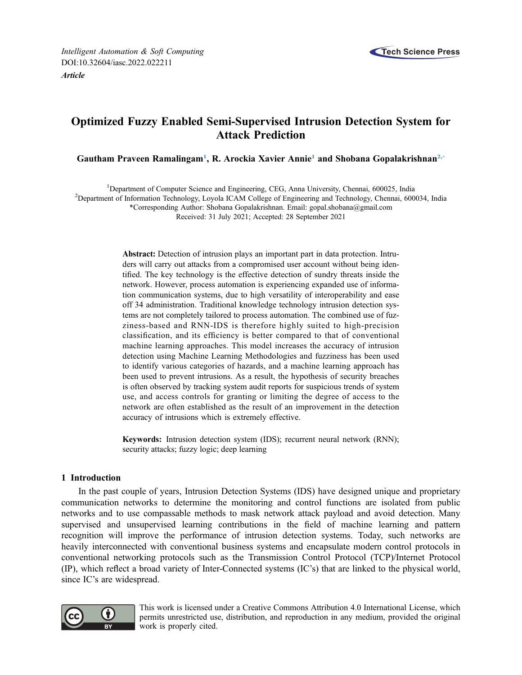

# Optimized Fuzzy Enabled Semi-Supervised Intrusion Detection System for Attack Prediction

Gautham Praveen Ramalingam<sup>[1](#page-0-0)</sup>, R. Arockia Xavier Annie<sup>1</sup> and Shobana Gopalakrishnan<sup>2[,\\*](#page-0-2)</sup>

<span id="page-0-2"></span><span id="page-0-1"></span><span id="page-0-0"></span><sup>1</sup> Department of Computer Science and Engineering, CEG, Anna University, Chennai, 600025, India<br><sup>2</sup> Department of Information Technology, Loyala ICAM College of Engineering and Technology, Chennai, 600 <sup>2</sup>Department of Information Technology, Loyola ICAM College of Engineering and Technology, Chennai, 600034, India \*Corresponding Author: Shobana Gopalakrishnan. Email: [gopal.shobana@gmail.com](mailto:gopal.shobana@gmail.com) Received: 31 July 2021; Accepted: 28 September 2021

> Abstract: Detection of intrusion plays an important part in data protection. Intruders will carry out attacks from a compromised user account without being identified. The key technology is the effective detection of sundry threats inside the network. However, process automation is experiencing expanded use of information communication systems, due to high versatility of interoperability and ease off 34 administration. Traditional knowledge technology intrusion detection systems are not completely tailored to process automation. The combined use of fuzziness-based and RNN-IDS is therefore highly suited to high-precision classification, and its efficiency is better compared to that of conventional machine learning approaches. This model increases the accuracy of intrusion detection using Machine Learning Methodologies and fuzziness has been used to identify various categories of hazards, and a machine learning approach has been used to prevent intrusions. As a result, the hypothesis of security breaches is often observed by tracking system audit reports for suspicious trends of system use, and access controls for granting or limiting the degree of access to the network are often established as the result of an improvement in the detection accuracy of intrusions which is extremely effective.

> Keywords: Intrusion detection system (IDS); recurrent neural network (RNN); security attacks; fuzzy logic; deep learning

# 1 Introduction

In the past couple of years, Intrusion Detection Systems (IDS) have designed unique and proprietary communication networks to determine the monitoring and control functions are isolated from public networks and to use compassable methods to mask network attack payload and avoid detection. Many supervised and unsupervised learning contributions in the field of machine learning and pattern recognition will improve the performance of intrusion detection systems. Today, such networks are heavily interconnected with conventional business systems and encapsulate modern control protocols in conventional networking protocols such as the Transmission Control Protocol (TCP)/Internet Protocol (IP), which reflect a broad variety of Inter-Connected systems (IC's) that are linked to the physical world, since IC's are widespread.



This work is licensed under a Creative Commons Attribution 4.0 International License, which permits unrestricted use, distribution, and reproduction in any medium, provided the original work is properly cited.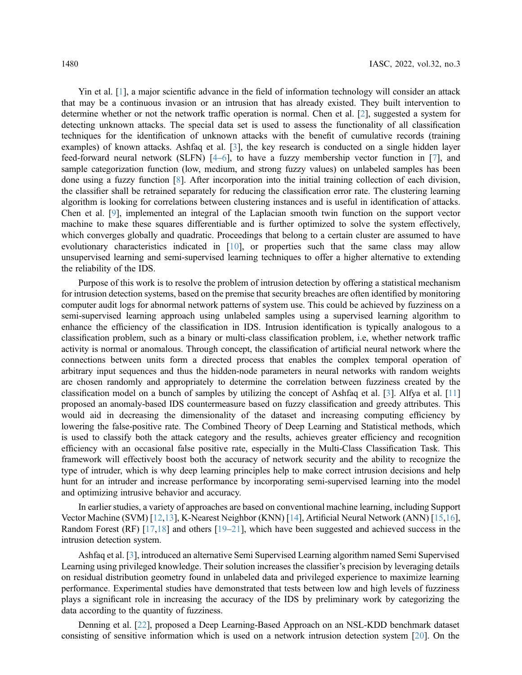Yin et al. [\[1\]](#page-12-0), a major scientific advance in the field of information technology will consider an attack that may be a continuous invasion or an intrusion that has already existed. They built intervention to determine whether or not the network traffic operation is normal. Chen et al. [[2](#page-12-1)], suggested a system for detecting unknown attacks. The special data set is used to assess the functionality of all classification techniques for the identification of unknown attacks with the benefit of cumulative records (training examples) of known attacks. Ashfaq et al. [\[3\]](#page-12-2), the key research is conducted on a single hidden layer feed-forward neural network (SLFN) [[4](#page-12-3)–[6](#page-12-4)], to have a fuzzy membership vector function in [\[7\]](#page-12-5), and sample categorization function (low, medium, and strong fuzzy values) on unlabeled samples has been done using a fuzzy function [[8](#page-12-6)]. After incorporation into the initial training collection of each division, the classifier shall be retrained separately for reducing the classification error rate. The clustering learning algorithm is looking for correlations between clustering instances and is useful in identification of attacks. Chen et al. [[9](#page-12-7)], implemented an integral of the Laplacian smooth twin function on the support vector machine to make these squares differentiable and is further optimized to solve the system effectively, which converges globally and quadratic. Proceedings that belong to a certain cluster are assumed to have evolutionary characteristics indicated in [\[10](#page-12-8)], or properties such that the same class may allow unsupervised learning and semi-supervised learning techniques to offer a higher alternative to extending the reliability of the IDS.

Purpose of this work is to resolve the problem of intrusion detection by offering a statistical mechanism for intrusion detection systems, based on the premise that security breaches are often identified by monitoring computer audit logs for abnormal network patterns of system use. This could be achieved by fuzziness on a semi-supervised learning approach using unlabeled samples using a supervised learning algorithm to enhance the efficiency of the classification in IDS. Intrusion identification is typically analogous to a classification problem, such as a binary or multi-class classification problem, i.e, whether network traffic activity is normal or anomalous. Through concept, the classification of artificial neural network where the connections between units form a directed process that enables the complex temporal operation of arbitrary input sequences and thus the hidden-node parameters in neural networks with random weights are chosen randomly and appropriately to determine the correlation between fuzziness created by the classification model on a bunch of samples by utilizing the concept of Ashfaq et al. [\[3\]](#page-12-2). Alfya et al. [\[11\]](#page-12-9) proposed an anomaly-based IDS countermeasure based on fuzzy classification and greedy attributes. This would aid in decreasing the dimensionality of the dataset and increasing computing efficiency by lowering the false-positive rate. The Combined Theory of Deep Learning and Statistical methods, which is used to classify both the attack category and the results, achieves greater efficiency and recognition efficiency with an occasional false positive rate, especially in the Multi-Class Classification Task. This framework will effectively boost both the accuracy of network security and the ability to recognize the type of intruder, which is why deep learning principles help to make correct intrusion decisions and help hunt for an intruder and increase performance by incorporating semi-supervised learning into the model and optimizing intrusive behavior and accuracy.

In earlier studies, a variety of approaches are based on conventional machine learning, including Support Vector Machine (SVM) [[12,](#page-12-10)[13](#page-12-11)], K-Nearest Neighbor (KNN) [[14\]](#page-12-12), Artificial Neural Network (ANN) [\[15](#page-12-13),[16\]](#page-12-14), Random Forest (RF) [[17,](#page-13-0)[18](#page-13-1)] and others [\[19](#page-13-2)–[21\]](#page-13-3), which have been suggested and achieved success in the intrusion detection system.

Ashfaq et al. [[3](#page-12-2)], introduced an alternative Semi Supervised Learning algorithm named Semi Supervised Learning using privileged knowledge. Their solution increases the classifier's precision by leveraging details on residual distribution geometry found in unlabeled data and privileged experience to maximize learning performance. Experimental studies have demonstrated that tests between low and high levels of fuzziness plays a significant role in increasing the accuracy of the IDS by preliminary work by categorizing the data according to the quantity of fuzziness.

Denning et al. [\[22](#page-13-4)], proposed a Deep Learning-Based Approach on an NSL-KDD benchmark dataset consisting of sensitive information which is used on a network intrusion detection system [[20\]](#page-13-5). On the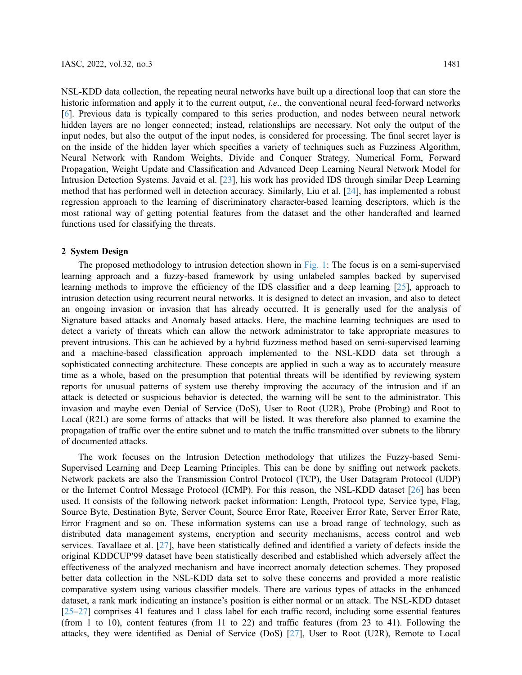NSL-KDD data collection, the repeating neural networks have built up a directional loop that can store the historic information and apply it to the current output, i.e., the conventional neural feed-forward networks [[6](#page-12-4)]. Previous data is typically compared to this series production, and nodes between neural network hidden layers are no longer connected; instead, relationships are necessary. Not only the output of the input nodes, but also the output of the input nodes, is considered for processing. The final secret layer is on the inside of the hidden layer which specifies a variety of techniques such as Fuzziness Algorithm, Neural Network with Random Weights, Divide and Conquer Strategy, Numerical Form, Forward Propagation, Weight Update and Classification and Advanced Deep Learning Neural Network Model for Intrusion Detection Systems. Javaid et al. [[23\]](#page-13-6), his work has provided IDS through similar Deep Learning method that has performed well in detection accuracy. Similarly, Liu et al. [[24\]](#page-13-7), has implemented a robust regression approach to the learning of discriminatory character-based learning descriptors, which is the most rational way of getting potential features from the dataset and the other handcrafted and learned functions used for classifying the threats.

# 2 System Design

The proposed methodology to intrusion detection shown in [Fig. 1](#page-3-0): The focus is on a semi-supervised learning approach and a fuzzy-based framework by using unlabeled samples backed by supervised learning methods to improve the efficiency of the IDS classifier and a deep learning [[25\]](#page-13-8), approach to intrusion detection using recurrent neural networks. It is designed to detect an invasion, and also to detect an ongoing invasion or invasion that has already occurred. It is generally used for the analysis of Signature based attacks and Anomaly based attacks. Here, the machine learning techniques are used to detect a variety of threats which can allow the network administrator to take appropriate measures to prevent intrusions. This can be achieved by a hybrid fuzziness method based on semi-supervised learning and a machine-based classification approach implemented to the NSL-KDD data set through a sophisticated connecting architecture. These concepts are applied in such a way as to accurately measure time as a whole, based on the presumption that potential threats will be identified by reviewing system reports for unusual patterns of system use thereby improving the accuracy of the intrusion and if an attack is detected or suspicious behavior is detected, the warning will be sent to the administrator. This invasion and maybe even Denial of Service (DoS), User to Root (U2R), Probe (Probing) and Root to Local (R2L) are some forms of attacks that will be listed. It was therefore also planned to examine the propagation of traffic over the entire subnet and to match the traffic transmitted over subnets to the library of documented attacks.

The work focuses on the Intrusion Detection methodology that utilizes the Fuzzy-based Semi-Supervised Learning and Deep Learning Principles. This can be done by sniffing out network packets. Network packets are also the Transmission Control Protocol (TCP), the User Datagram Protocol (UDP) or the Internet Control Message Protocol (ICMP). For this reason, the NSL-KDD dataset [\[26](#page-13-9)] has been used. It consists of the following network packet information: Length, Protocol type, Service type, Flag, Source Byte, Destination Byte, Server Count, Source Error Rate, Receiver Error Rate, Server Error Rate, Error Fragment and so on. These information systems can use a broad range of technology, such as distributed data management systems, encryption and security mechanisms, access control and web services. Tavallaee et al. [\[27](#page-13-10)], have been statistically defined and identified a variety of defects inside the original KDDCUP′99 dataset have been statistically described and established which adversely affect the effectiveness of the analyzed mechanism and have incorrect anomaly detection schemes. They proposed better data collection in the NSL-KDD data set to solve these concerns and provided a more realistic comparative system using various classifier models. There are various types of attacks in the enhanced dataset, a rank mark indicating an instance's position is either normal or an attack. The NSL-KDD dataset [[25](#page-13-8)–[27\]](#page-13-10) comprises 41 features and 1 class label for each traffic record, including some essential features (from 1 to 10), content features (from 11 to 22) and traffic features (from 23 to 41). Following the attacks, they were identified as Denial of Service (DoS) [\[27](#page-13-10)], User to Root (U2R), Remote to Local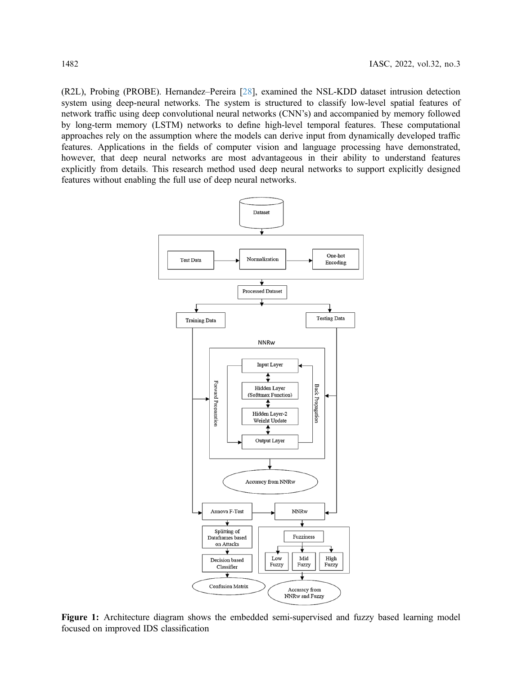<span id="page-3-0"></span>(R2L), Probing (PROBE). Hernandez–Pereira [[28\]](#page-13-11), examined the NSL-KDD dataset intrusion detection system using deep-neural networks. The system is structured to classify low-level spatial features of network traffic using deep convolutional neural networks (CNN's) and accompanied by memory followed by long-term memory (LSTM) networks to define high-level temporal features. These computational approaches rely on the assumption where the models can derive input from dynamically developed traffic features. Applications in the fields of computer vision and language processing have demonstrated, however, that deep neural networks are most advantageous in their ability to understand features explicitly from details. This research method used deep neural networks to support explicitly designed features without enabling the full use of deep neural networks.



Figure 1: Architecture diagram shows the embedded semi-supervised and fuzzy based learning model focused on improved IDS classification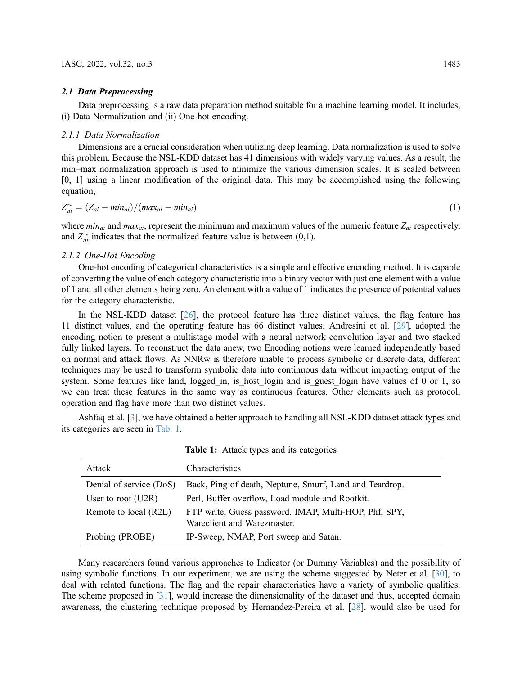#### 2.1 Data Preprocessing

Data preprocessing is a raw data preparation method suitable for a machine learning model. It includes, (i) Data Normalization and (ii) One-hot encoding.

#### 2.1.1 Data Normalization

Dimensions are a crucial consideration when utilizing deep learning. Data normalization is used to solve this problem. Because the NSL-KDD dataset has 41 dimensions with widely varying values. As a result, the min–max normalization approach is used to minimize the various dimension scales. It is scaled between [0, 1] using a linear modification of the original data. This may be accomplished using the following equation,

$$
Z_{ai}^{\sim} = (Z_{ai} - \min_{ai})/(\max_{ai} - \min_{ai})
$$
\n(1)

where  $min_{ai}$  and  $max_{ai}$ , represent the minimum and maximum values of the numeric feature  $Z_{ai}$  respectively, and  $Z_{ai}^{\sim}$  indicates that the normalized feature value is between (0,1).

# 2.1.2 One-Hot Encoding

One-hot encoding of categorical characteristics is a simple and effective encoding method. It is capable of converting the value of each category characteristic into a binary vector with just one element with a value of 1 and all other elements being zero. An element with a value of 1 indicates the presence of potential values for the category characteristic.

In the NSL-KDD dataset [[26\]](#page-13-9), the protocol feature has three distinct values, the flag feature has 11 distinct values, and the operating feature has 66 distinct values. Andresini et al. [\[29](#page-13-12)], adopted the encoding notion to present a multistage model with a neural network convolution layer and two stacked fully linked layers. To reconstruct the data anew, two Encoding notions were learned independently based on normal and attack flows. As NNRw is therefore unable to process symbolic or discrete data, different techniques may be used to transform symbolic data into continuous data without impacting output of the system. Some features like land, logged in, is host login and is guest login have values of 0 or 1, so we can treat these features in the same way as continuous features. Other elements such as protocol, operation and flag have more than two distinct values.

Ashfaq et al. [[3](#page-12-2)], we have obtained a better approach to handling all NSL-KDD dataset attack types and its categories are seen in [Tab. 1.](#page-4-0)

<span id="page-4-0"></span>

| Attack                  | Characteristics                                                                      |
|-------------------------|--------------------------------------------------------------------------------------|
| Denial of service (DoS) | Back, Ping of death, Neptune, Smurf, Land and Teardrop.                              |
| User to root $(U2R)$    | Perl, Buffer overflow, Load module and Rootkit.                                      |
| Remote to local (R2L)   | FTP write, Guess password, IMAP, Multi-HOP, Phf, SPY,<br>Wareclient and Warezmaster. |
| Probing (PROBE)         | IP-Sweep, NMAP, Port sweep and Satan.                                                |

Table 1: Attack types and its categories

Many researchers found various approaches to Indicator (or Dummy Variables) and the possibility of using symbolic functions. In our experiment, we are using the scheme suggested by Neter et al. [[30\]](#page-13-13), to deal with related functions. The flag and the repair characteristics have a variety of symbolic qualities. The scheme proposed in [[31\]](#page-13-14), would increase the dimensionality of the dataset and thus, accepted domain awareness, the clustering technique proposed by Hernandez-Pereira et al. [\[28](#page-13-11)], would also be used for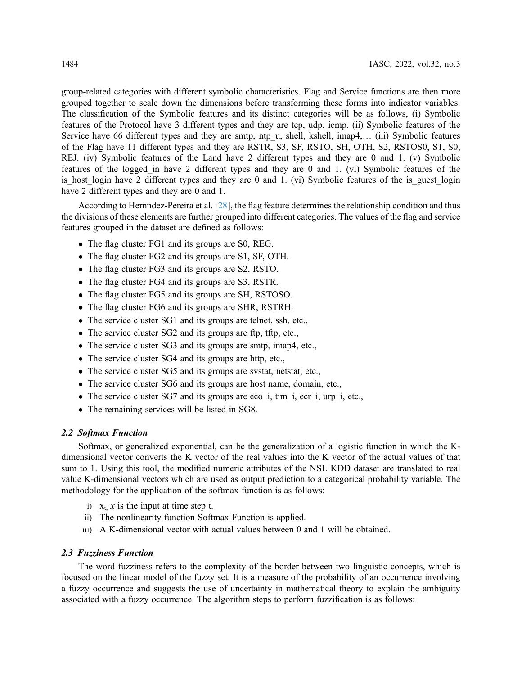group-related categories with different symbolic characteristics. Flag and Service functions are then more grouped together to scale down the dimensions before transforming these forms into indicator variables. The classification of the Symbolic features and its distinct categories will be as follows, (i) Symbolic features of the Protocol have 3 different types and they are tcp, udp, icmp. (ii) Symbolic features of the Service have 66 different types and they are smtp, ntp u, shell, kshell, imap4,... (iii) Symbolic features of the Flag have 11 different types and they are RSTR, S3, SF, RSTO, SH, OTH, S2, RSTOS0, S1, S0, REJ. (iv) Symbolic features of the Land have 2 different types and they are 0 and 1. (v) Symbolic features of the logged in have 2 different types and they are 0 and 1. (vi) Symbolic features of the is host login have 2 different types and they are 0 and 1. (vi) Symbolic features of the is guest login have 2 different types and they are 0 and 1.

According to Hernndez-Pereira et al. [[28\]](#page-13-11), the flag feature determines the relationship condition and thus the divisions of these elements are further grouped into different categories. The values of the flag and service features grouped in the dataset are defined as follows:

- The flag cluster FG1 and its groups are S0, REG.
- The flag cluster FG2 and its groups are S1, SF, OTH.
- The flag cluster FG3 and its groups are S2, RSTO.
- The flag cluster FG4 and its groups are S3, RSTR.
- The flag cluster FG5 and its groups are SH, RSTOSO.
- The flag cluster FG6 and its groups are SHR, RSTRH.
- The service cluster SG1 and its groups are telnet, ssh, etc.,
- The service cluster SG2 and its groups are ftp, tftp, etc.,
- The service cluster SG3 and its groups are smtp, imap4, etc.,
- The service cluster SG4 and its groups are http, etc.,
- The service cluster SG5 and its groups are systat, netstat, etc.,
- The service cluster SG6 and its groups are host name, domain, etc.,
- The service cluster SG7 and its groups are eco i, tim i, ecr i, urp i, etc.,
- The remaining services will be listed in SG8.

## 2.2 Softmax Function

Softmax, or generalized exponential, can be the generalization of a logistic function in which the Kdimensional vector converts the K vector of the real values into the K vector of the actual values of that sum to 1. Using this tool, the modified numeric attributes of the NSL KDD dataset are translated to real value K-dimensional vectors which are used as output prediction to a categorical probability variable. The methodology for the application of the softmax function is as follows:

- i)  $x_t$ , x is the input at time step t.
- ii) The nonlinearity function Softmax Function is applied.
- iii) A K-dimensional vector with actual values between 0 and 1 will be obtained.

# 2.3 Fuzziness Function

The word fuzziness refers to the complexity of the border between two linguistic concepts, which is focused on the linear model of the fuzzy set. It is a measure of the probability of an occurrence involving a fuzzy occurrence and suggests the use of uncertainty in mathematical theory to explain the ambiguity associated with a fuzzy occurrence. The algorithm steps to perform fuzzification is as follows: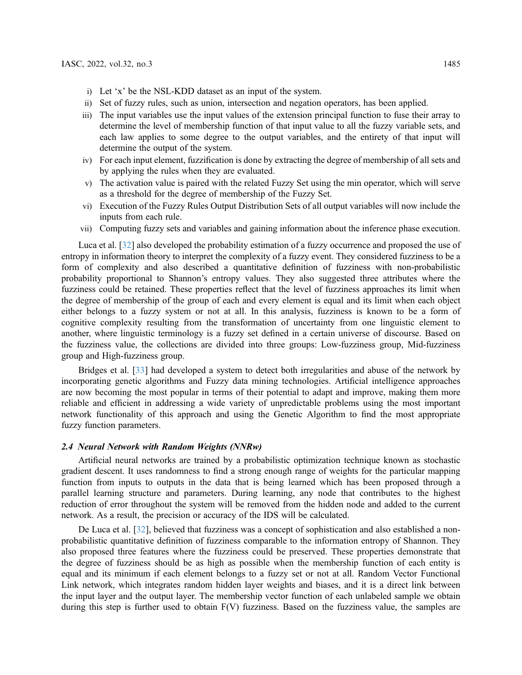- i) Let 'x' be the NSL-KDD dataset as an input of the system.
- ii) Set of fuzzy rules, such as union, intersection and negation operators, has been applied.
- iii) The input variables use the input values of the extension principal function to fuse their array to determine the level of membership function of that input value to all the fuzzy variable sets, and each law applies to some degree to the output variables, and the entirety of that input will determine the output of the system.
- iv) For each input element, fuzzification is done by extracting the degree of membership of all sets and by applying the rules when they are evaluated.
- v) The activation value is paired with the related Fuzzy Set using the min operator, which will serve as a threshold for the degree of membership of the Fuzzy Set.
- vi) Execution of the Fuzzy Rules Output Distribution Sets of all output variables will now include the inputs from each rule.
- vii) Computing fuzzy sets and variables and gaining information about the inference phase execution.

Luca et al. [\[32](#page-13-15)] also developed the probability estimation of a fuzzy occurrence and proposed the use of entropy in information theory to interpret the complexity of a fuzzy event. They considered fuzziness to be a form of complexity and also described a quantitative definition of fuzziness with non-probabilistic probability proportional to Shannon's entropy values. They also suggested three attributes where the fuzziness could be retained. These properties reflect that the level of fuzziness approaches its limit when the degree of membership of the group of each and every element is equal and its limit when each object either belongs to a fuzzy system or not at all. In this analysis, fuzziness is known to be a form of cognitive complexity resulting from the transformation of uncertainty from one linguistic element to another, where linguistic terminology is a fuzzy set defined in a certain universe of discourse. Based on the fuzziness value, the collections are divided into three groups: Low-fuzziness group, Mid-fuzziness group and High-fuzziness group.

Bridges et al. [[33\]](#page-13-16) had developed a system to detect both irregularities and abuse of the network by incorporating genetic algorithms and Fuzzy data mining technologies. Artificial intelligence approaches are now becoming the most popular in terms of their potential to adapt and improve, making them more reliable and efficient in addressing a wide variety of unpredictable problems using the most important network functionality of this approach and using the Genetic Algorithm to find the most appropriate fuzzy function parameters.

#### 2.4 Neural Network with Random Weights (NNRw)

Artificial neural networks are trained by a probabilistic optimization technique known as stochastic gradient descent. It uses randomness to find a strong enough range of weights for the particular mapping function from inputs to outputs in the data that is being learned which has been proposed through a parallel learning structure and parameters. During learning, any node that contributes to the highest reduction of error throughout the system will be removed from the hidden node and added to the current network. As a result, the precision or accuracy of the IDS will be calculated.

De Luca et al. [\[32\]](#page-13-15), believed that fuzziness was a concept of sophistication and also established a nonprobabilistic quantitative definition of fuzziness comparable to the information entropy of Shannon. They also proposed three features where the fuzziness could be preserved. These properties demonstrate that the degree of fuzziness should be as high as possible when the membership function of each entity is equal and its minimum if each element belongs to a fuzzy set or not at all. Random Vector Functional Link network, which integrates random hidden layer weights and biases, and it is a direct link between the input layer and the output layer. The membership vector function of each unlabeled sample we obtain during this step is further used to obtain F(V) fuzziness. Based on the fuzziness value, the samples are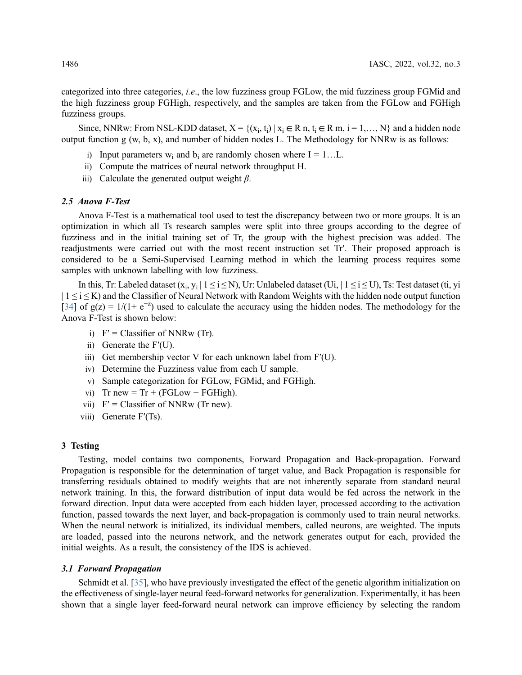categorized into three categories, i.e., the low fuzziness group FGLow, the mid fuzziness group FGMid and the high fuzziness group FGHigh, respectively, and the samples are taken from the FGLow and FGHigh fuzziness groups.

Since, NNRw: From NSL-KDD dataset,  $X = \{(x_i, t_i) | x_i \in R \text{ n}, t_i \in R \text{ m}, i = 1,..., N\}$  and a hidden node output function g (w, b, x), and number of hidden nodes L. The Methodology for NNRw is as follows:

- i) Input parameters  $w_i$  and  $b_i$  are randomly chosen where  $I = 1...L$ .
- ii) Compute the matrices of neural network throughput H.
- iii) Calculate the generated output weight  $\beta$ .

# 2.5 Anova F-Test

Anova F-Test is a mathematical tool used to test the discrepancy between two or more groups. It is an optimization in which all Ts research samples were split into three groups according to the degree of fuzziness and in the initial training set of Tr, the group with the highest precision was added. The readjustments were carried out with the most recent instruction set Tr′. Their proposed approach is considered to be a Semi-Supervised Learning method in which the learning process requires some samples with unknown labelling with low fuzziness.

In this, Tr: Labeled dataset  $(x_i, y_i | 1 \le i \le N)$ , Ur: Unlabeled dataset (Ui,  $1 \le i \le U$ ), Ts: Test dataset (ti, yi  $| 1 \le i \le K$ ) and the Classifier of Neural Network with Random Weights with the hidden node output function [[34](#page-13-17)] of  $g(z) = 1/(1 + e^{-z})$  used to calculate the accuracy using the hidden nodes. The methodology for the Anova F-Test is shown below:

- i)  $F' = Classifier of NNRw (Tr).$
- ii) Generate the F′(U).
- iii) Get membership vector V for each unknown label from F′(U).
- iv) Determine the Fuzziness value from each U sample.
- v) Sample categorization for FGLow, FGMid, and FGHigh.
- vi) Tr new =  $Tr + (FGLow + FGHigh)$ .
- vii)  $F' = Classifier of NNRw (Tr new).$
- viii) Generate F′(Ts).

## 3 Testing

Testing, model contains two components, Forward Propagation and Back-propagation. Forward Propagation is responsible for the determination of target value, and Back Propagation is responsible for transferring residuals obtained to modify weights that are not inherently separate from standard neural network training. In this, the forward distribution of input data would be fed across the network in the forward direction. Input data were accepted from each hidden layer, processed according to the activation function, passed towards the next layer, and back-propagation is commonly used to train neural networks. When the neural network is initialized, its individual members, called neurons, are weighted. The inputs are loaded, passed into the neurons network, and the network generates output for each, provided the initial weights. As a result, the consistency of the IDS is achieved.

## 3.1 Forward Propagation

Schmidt et al. [\[35](#page-13-18)], who have previously investigated the effect of the genetic algorithm initialization on the effectiveness of single-layer neural feed-forward networks for generalization. Experimentally, it has been shown that a single layer feed-forward neural network can improve efficiency by selecting the random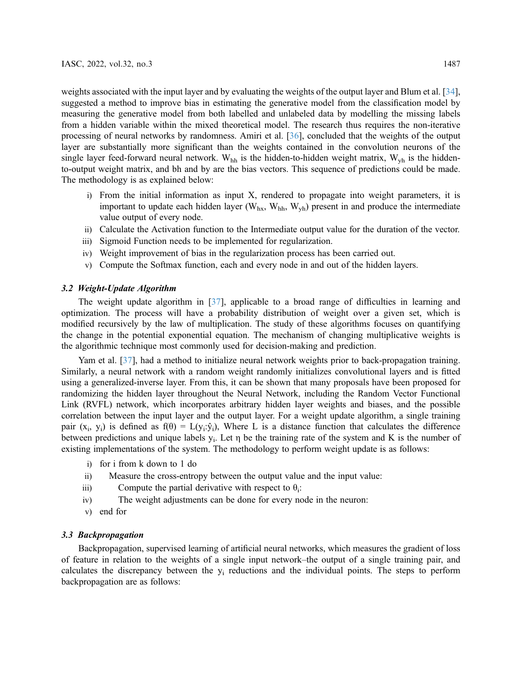weights associated with the input layer and by evaluating the weights of the output layer and Blum et al. [[34\]](#page-13-17), suggested a method to improve bias in estimating the generative model from the classification model by measuring the generative model from both labelled and unlabeled data by modelling the missing labels from a hidden variable within the mixed theoretical model. The research thus requires the non-iterative processing of neural networks by randomness. Amiri et al. [[36\]](#page-13-19), concluded that the weights of the output layer are substantially more significant than the weights contained in the convolution neurons of the single layer feed-forward neural network.  $W_{hh}$  is the hidden-to-hidden weight matrix,  $W_{vh}$  is the hiddento-output weight matrix, and bh and by are the bias vectors. This sequence of predictions could be made. The methodology is as explained below:

- i) From the initial information as input X, rendered to propagate into weight parameters, it is important to update each hidden layer ( $W_{hx}$ ,  $W_{hh}$ ,  $W_{vh}$ ) present in and produce the intermediate value output of every node.
- ii) Calculate the Activation function to the Intermediate output value for the duration of the vector.
- iii) Sigmoid Function needs to be implemented for regularization.
- iv) Weight improvement of bias in the regularization process has been carried out.
- v) Compute the Softmax function, each and every node in and out of the hidden layers.

# 3.2 Weight-Update Algorithm

The weight update algorithm in  $[37]$  $[37]$ , applicable to a broad range of difficulties in learning and optimization. The process will have a probability distribution of weight over a given set, which is modified recursively by the law of multiplication. The study of these algorithms focuses on quantifying the change in the potential exponential equation. The mechanism of changing multiplicative weights is the algorithmic technique most commonly used for decision-making and prediction.

Yam et al. [\[37](#page-13-20)], had a method to initialize neural network weights prior to back-propagation training. Similarly, a neural network with a random weight randomly initializes convolutional layers and is fitted using a generalized-inverse layer. From this, it can be shown that many proposals have been proposed for randomizing the hidden layer throughout the Neural Network, including the Random Vector Functional Link (RVFL) network, which incorporates arbitrary hidden layer weights and biases, and the possible correlation between the input layer and the output layer. For a weight update algorithm, a single training pair  $(x_i, y_i)$  is defined as  $f(\theta) = L(y_i; \hat{y}_i)$ , Where L is a distance function that calculates the difference between predictions and unique labels yi. Let η be the training rate of the system and K is the number of existing implementations of the system. The methodology to perform weight update is as follows:

- i) for i from k down to 1 do
- ii) Measure the cross-entropy between the output value and the input value:
- iii) Compute the partial derivative with respect to  $\theta_i$ :
- iv) The weight adjustments can be done for every node in the neuron:
- v) end for

# 3.3 Backpropagation

Backpropagation, supervised learning of artificial neural networks, which measures the gradient of loss of feature in relation to the weights of a single input network–the output of a single training pair, and calculates the discrepancy between the  $y_i$  reductions and the individual points. The steps to perform backpropagation are as follows: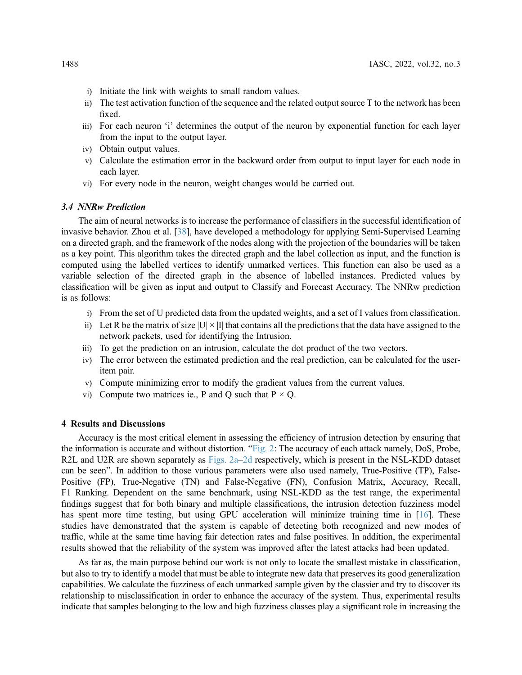- i) Initiate the link with weights to small random values.
- ii) The test activation function of the sequence and the related output source T to the network has been fixed.
- iii) For each neuron 'i' determines the output of the neuron by exponential function for each layer from the input to the output layer.
- iv) Obtain output values.
- v) Calculate the estimation error in the backward order from output to input layer for each node in each layer.
- vi) For every node in the neuron, weight changes would be carried out.

# 3.4 NNRw Prediction

The aim of neural networks is to increase the performance of classifiers in the successful identification of invasive behavior. Zhou et al. [[38\]](#page-13-21), have developed a methodology for applying Semi-Supervised Learning on a directed graph, and the framework of the nodes along with the projection of the boundaries will be taken as a key point. This algorithm takes the directed graph and the label collection as input, and the function is computed using the labelled vertices to identify unmarked vertices. This function can also be used as a variable selection of the directed graph in the absence of labelled instances. Predicted values by classification will be given as input and output to Classify and Forecast Accuracy. The NNRw prediction is as follows:

- i) From the set of U predicted data from the updated weights, and a set of I values from classification.
- ii) Let R be the matrix of size  $|U| \times |I|$  that contains all the predictions that the data have assigned to the network packets, used for identifying the Intrusion.
- iii) To get the prediction on an intrusion, calculate the dot product of the two vectors.
- iv) The error between the estimated prediction and the real prediction, can be calculated for the useritem pair.
- v) Compute minimizing error to modify the gradient values from the current values.
- vi) Compute two matrices ie., P and O such that  $P \times Q$ .

## 4 Results and Discussions

Accuracy is the most critical element in assessing the efficiency of intrusion detection by ensuring that the information is accurate and without distortion. "[Fig. 2:](#page-10-0) The accuracy of each attack namely, DoS, Probe, R2L and U2R are shown separately as [Figs. 2a](#page-10-0)–[2d](#page-10-0) respectively, which is present in the NSL-KDD dataset can be seen". In addition to those various parameters were also used namely, True-Positive (TP), False-Positive (FP), True-Negative (TN) and False-Negative (FN), Confusion Matrix, Accuracy, Recall, F1 Ranking. Dependent on the same benchmark, using NSL-KDD as the test range, the experimental findings suggest that for both binary and multiple classifications, the intrusion detection fuzziness model has spent more time testing, but using GPU acceleration will minimize training time in [[16\]](#page-12-14). These studies have demonstrated that the system is capable of detecting both recognized and new modes of traffic, while at the same time having fair detection rates and false positives. In addition, the experimental results showed that the reliability of the system was improved after the latest attacks had been updated.

As far as, the main purpose behind our work is not only to locate the smallest mistake in classification, but also to try to identify a model that must be able to integrate new data that preserves its good generalization capabilities. We calculate the fuzziness of each unmarked sample given by the classier and try to discover its relationship to misclassification in order to enhance the accuracy of the system. Thus, experimental results indicate that samples belonging to the low and high fuzziness classes play a significant role in increasing the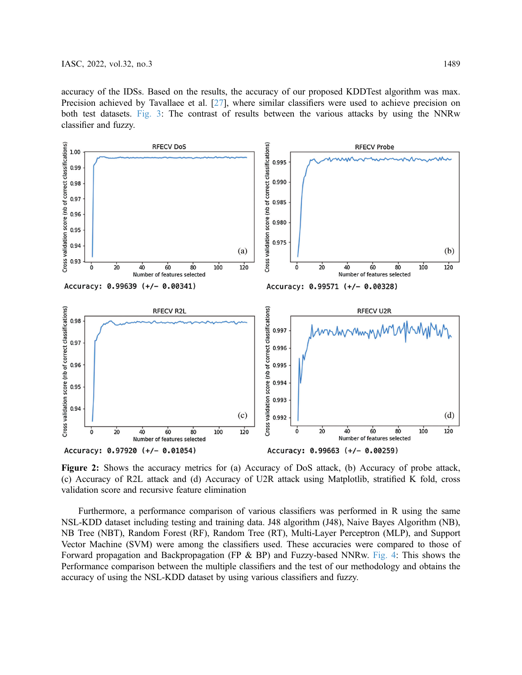accuracy of the IDSs. Based on the results, the accuracy of our proposed KDDTest algorithm was max. Precision achieved by Tavallaee et al. [\[27](#page-13-10)], where similar classifiers were used to achieve precision on both test datasets. [Fig. 3](#page-11-0): The contrast of results between the various attacks by using the NNRw classifier and fuzzy.

<span id="page-10-0"></span>

Figure 2: Shows the accuracy metrics for (a) Accuracy of DoS attack, (b) Accuracy of probe attack, (c) Accuracy of R2L attack and (d) Accuracy of U2R attack using Matplotlib, stratified K fold, cross validation score and recursive feature elimination

Furthermore, a performance comparison of various classifiers was performed in R using the same NSL-KDD dataset including testing and training data. J48 algorithm (J48), Naive Bayes Algorithm (NB), NB Tree (NBT), Random Forest (RF), Random Tree (RT), Multi-Layer Perceptron (MLP), and Support Vector Machine (SVM) were among the classifiers used. These accuracies were compared to those of Forward propagation and Backpropagation (FP & BP) and Fuzzy-based NNRw. [Fig. 4:](#page-11-1) This shows the Performance comparison between the multiple classifiers and the test of our methodology and obtains the accuracy of using the NSL-KDD dataset by using various classifiers and fuzzy.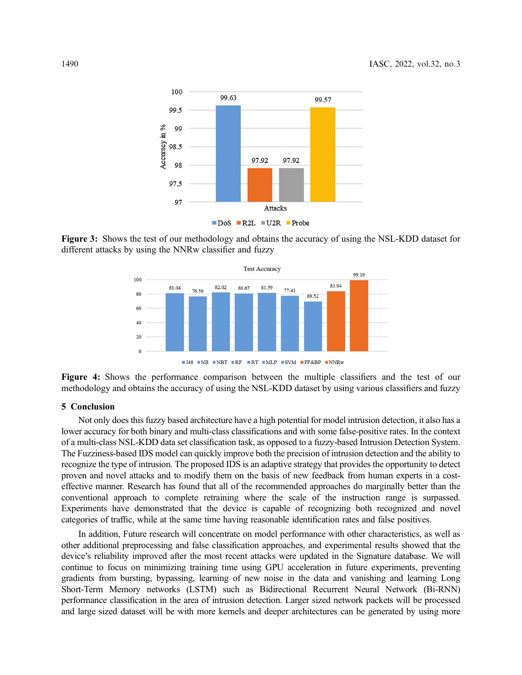<span id="page-11-0"></span>

<span id="page-11-1"></span>Figure 3: Shows the test of our methodology and obtains the accuracy of using the NSL-KDD dataset for different attacks by using the NNRw classifier and fuzzy



Figure 4: Shows the performance comparison between the multiple classifiers and the test of our methodology and obtains the accuracy of using the NSL-KDD dataset by using various classifiers and fuzzy

# 5 Conclusion

Not only does this fuzzy based architecture have a high potential for model intrusion detection, it also has a lower accuracy for both binary and multi-class classifications and with some false-positive rates. In the context of a multi-class NSL-KDD data set classification task, as opposed to a fuzzy-based Intrusion Detection System. The Fuzziness-based IDS model can quickly improve both the precision of intrusion detection and the ability to recognize the type of intrusion. The proposed IDS is an adaptive strategy that provides the opportunity to detect proven and novel attacks and to modify them on the basis of new feedback from human experts in a costeffective manner. Research has found that all of the recommended approaches do marginally better than the conventional approach to complete retraining where the scale of the instruction range is surpassed. Experiments have demonstrated that the device is capable of recognizing both recognized and novel categories of traffic, while at the same time having reasonable identification rates and false positives.

In addition, Future research will concentrate on model performance with other characteristics, as well as other additional preprocessing and false classification approaches, and experimental results showed that the device's reliability improved after the most recent attacks were updated in the Signature database. We will continue to focus on minimizing training time using GPU acceleration in future experiments, preventing gradients from bursting, bypassing, learning of new noise in the data and vanishing and learning Long Short-Term Memory networks (LSTM) such as Bidirectional Recurrent Neural Network (Bi-RNN) performance classification in the area of intrusion detection. Larger sized network packets will be processed and large sized dataset will be with more kernels and deeper architectures can be generated by using more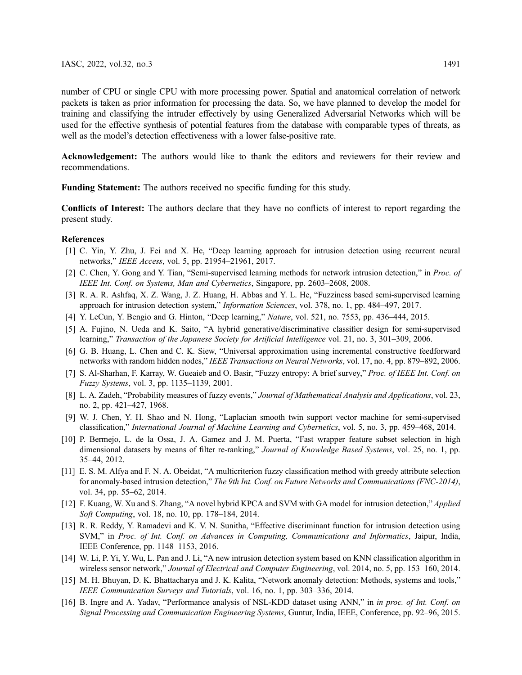number of CPU or single CPU with more processing power. Spatial and anatomical correlation of network packets is taken as prior information for processing the data. So, we have planned to develop the model for training and classifying the intruder effectively by using Generalized Adversarial Networks which will be used for the effective synthesis of potential features from the database with comparable types of threats, as well as the model's detection effectiveness with a lower false-positive rate.

Acknowledgement: The authors would like to thank the editors and reviewers for their review and recommendations.

Funding Statement: The authors received no specific funding for this study.

Conflicts of Interest: The authors declare that they have no conflicts of interest to report regarding the present study.

#### References

- <span id="page-12-0"></span>[1] C. Yin, Y. Zhu, J. Fei and X. He, "Deep learning approach for intrusion detection using recurrent neural networks," IEEE Access, vol. 5, pp. 21954–21961, 2017.
- <span id="page-12-1"></span>[2] C. Chen, Y. Gong and Y. Tian, "Semi-supervised learning methods for network intrusion detection," in *Proc. of* IEEE Int. Conf. on Systems, Man and Cybernetics, Singapore, pp. 2603–2608, 2008.
- <span id="page-12-2"></span>[3] R. A. R. Ashfaq, X. Z. Wang, J. Z. Huang, H. Abbas and Y. L. He, "Fuzziness based semi-supervised learning approach for intrusion detection system," Information Sciences, vol. 378, no. 1, pp. 484–497, 2017.
- <span id="page-12-3"></span>[4] Y. LeCun, Y. Bengio and G. Hinton, "Deep learning," Nature, vol. 521, no. 7553, pp. 436–444, 2015.
- [5] A. Fujino, N. Ueda and K. Saito, "A hybrid generative/discriminative classifier design for semi-supervised learning," Transaction of the Japanese Society for Artificial Intelligence vol. 21, no. 3, 301–309, 2006.
- <span id="page-12-4"></span>[6] G. B. Huang, L. Chen and C. K. Siew, "Universal approximation using incremental constructive feedforward networks with random hidden nodes," IEEE Transactions on Neural Networks, vol. 17, no. 4, pp. 879–892, 2006.
- <span id="page-12-5"></span>[7] S. Al-Sharhan, F. Karray, W. Gueaieb and O. Basir, "Fuzzy entropy: A brief survey," Proc. of IEEE Int. Conf. on Fuzzy Systems, vol. 3, pp. 1135–1139, 2001.
- <span id="page-12-6"></span>[8] L. A. Zadeh, "Probability measures of fuzzy events," Journal of Mathematical Analysis and Applications, vol. 23, no. 2, pp. 421–427, 1968.
- <span id="page-12-7"></span>[9] W. J. Chen, Y. H. Shao and N. Hong, "Laplacian smooth twin support vector machine for semi-supervised classification," International Journal of Machine Learning and Cybernetics, vol. 5, no. 3, pp. 459–468, 2014.
- <span id="page-12-8"></span>[10] P. Bermejo, L. de la Ossa, J. A. Gamez and J. M. Puerta, "Fast wrapper feature subset selection in high dimensional datasets by means of filter re-ranking," Journal of Knowledge Based Systems, vol. 25, no. 1, pp. 35–44, 2012.
- <span id="page-12-9"></span>[11] E. S. M. Alfya and F. N. A. Obeidat, "A multicriterion fuzzy classification method with greedy attribute selection for anomaly-based intrusion detection," The 9th Int. Conf. on Future Networks and Communications (FNC-2014), vol. 34, pp. 55–62, 2014.
- <span id="page-12-10"></span>[12] F. Kuang, W. Xu and S. Zhang, "A novel hybrid KPCA and SVM with GA model for intrusion detection," Applied Soft Computing, vol. 18, no. 10, pp. 178–184, 2014.
- <span id="page-12-11"></span>[13] R. R. Reddy, Y. Ramadevi and K. V. N. Sunitha, "Effective discriminant function for intrusion detection using SVM," in Proc. of Int. Conf. on Advances in Computing, Communications and Informatics, Jaipur, India, IEEE Conference, pp. 1148–1153, 2016.
- <span id="page-12-12"></span>[14] W. Li, P. Yi, Y. Wu, L. Pan and J. Li, "A new intrusion detection system based on KNN classification algorithm in wireless sensor network," Journal of Electrical and Computer Engineering, vol. 2014, no. 5, pp. 153–160, 2014.
- <span id="page-12-13"></span>[15] M. H. Bhuyan, D. K. Bhattacharya and J. K. Kalita, "Network anomaly detection: Methods, systems and tools," IEEE Communication Surveys and Tutorials, vol. 16, no. 1, pp. 303–336, 2014.
- <span id="page-12-14"></span>[16] B. Ingre and A. Yadav, "Performance analysis of NSL-KDD dataset using ANN," in in proc. of Int. Conf. on Signal Processing and Communication Engineering Systems, Guntur, India, IEEE, Conference, pp. 92–96, 2015.